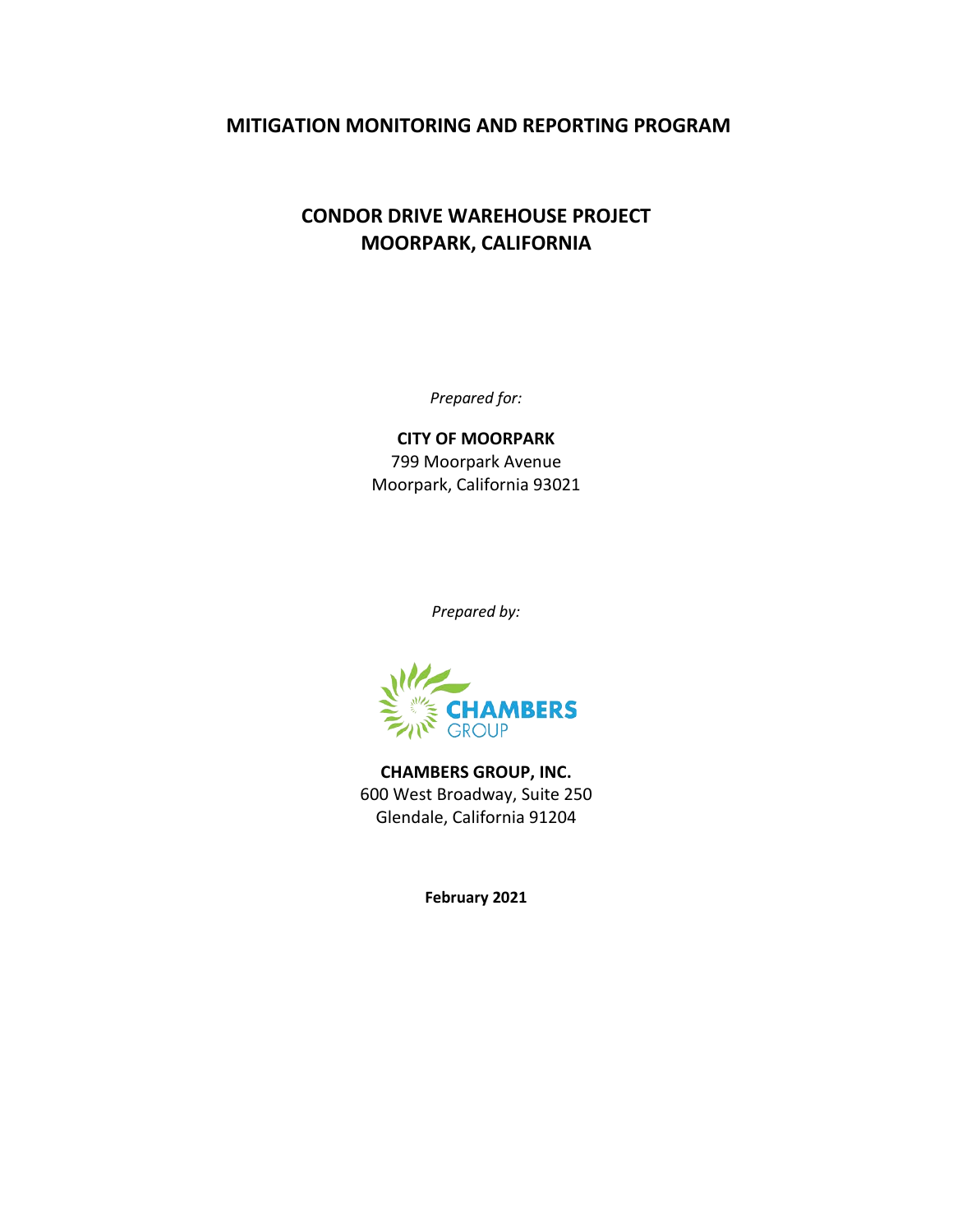## **MITIGATION MONITORING AND REPORTING PROGRAM**

## **CONDOR DRIVE WAREHOUSE PROJECT MOORPARK, CALIFORNIA**

*Prepared for:*

**CITY OF MOORPARK** 799 Moorpark Avenue Moorpark, California 93021

*Prepared by:*



**CHAMBERS GROUP, INC.** 600 West Broadway, Suite 250 Glendale, California 91204

**February 2021**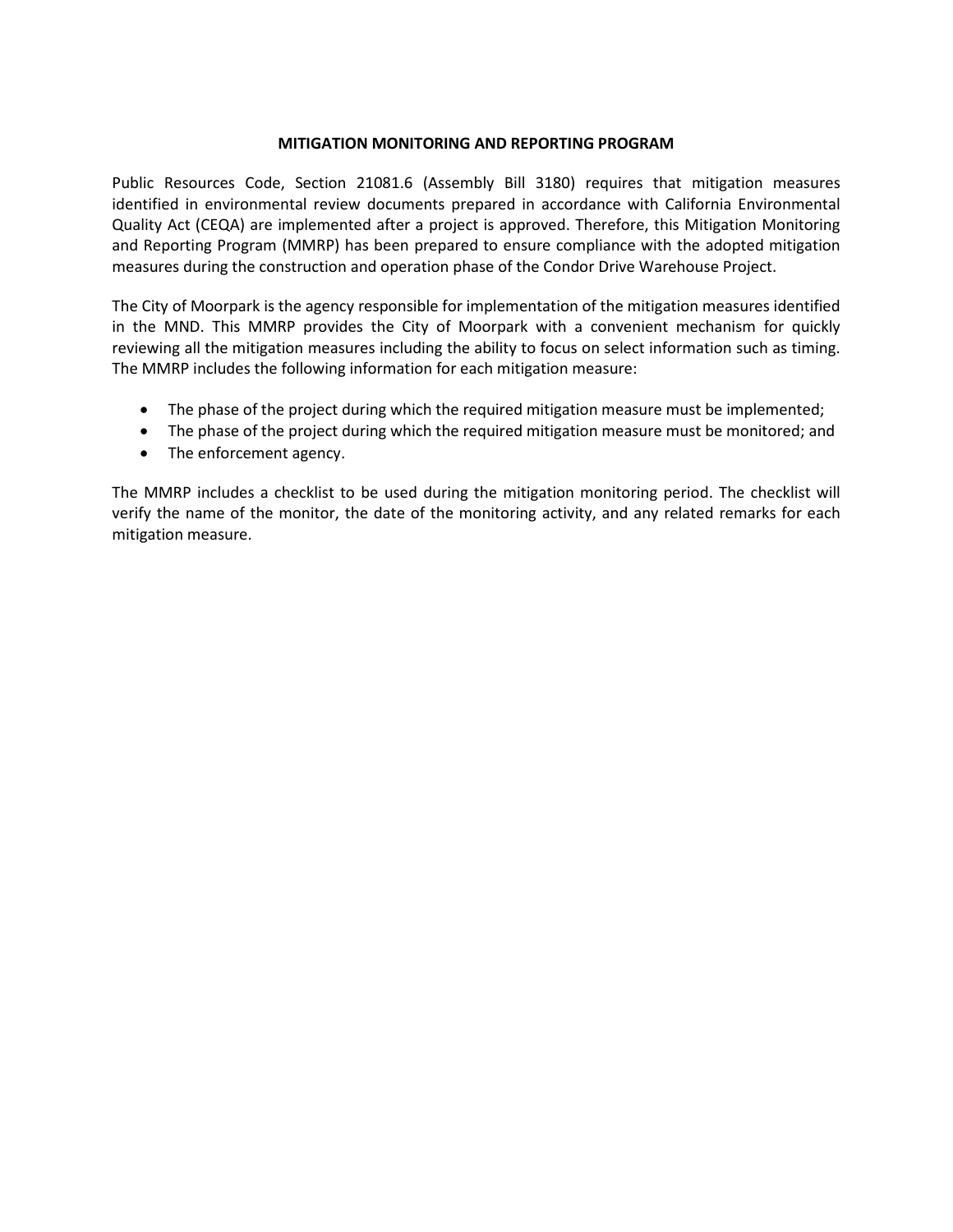## **MITIGATION MONITORING AND REPORTING PROGRAM**

Public Resources Code, Section 21081.6 (Assembly Bill 3180) requires that mitigation measures identified in environmental review documents prepared in accordance with California Environmental Quality Act (CEQA) are implemented after a project is approved. Therefore, this Mitigation Monitoring and Reporting Program (MMRP) has been prepared to ensure compliance with the adopted mitigation measures during the construction and operation phase of the Condor Drive Warehouse Project.

The City of Moorpark is the agency responsible for implementation of the mitigation measures identified in the MND. This MMRP provides the City of Moorpark with a convenient mechanism for quickly reviewing all the mitigation measures including the ability to focus on select information such as timing. The MMRP includes the following information for each mitigation measure:

- The phase of the project during which the required mitigation measure must be implemented;
- The phase of the project during which the required mitigation measure must be monitored; and
- The enforcement agency.

The MMRP includes a checklist to be used during the mitigation monitoring period. The checklist will verify the name of the monitor, the date of the monitoring activity, and any related remarks for each mitigation measure.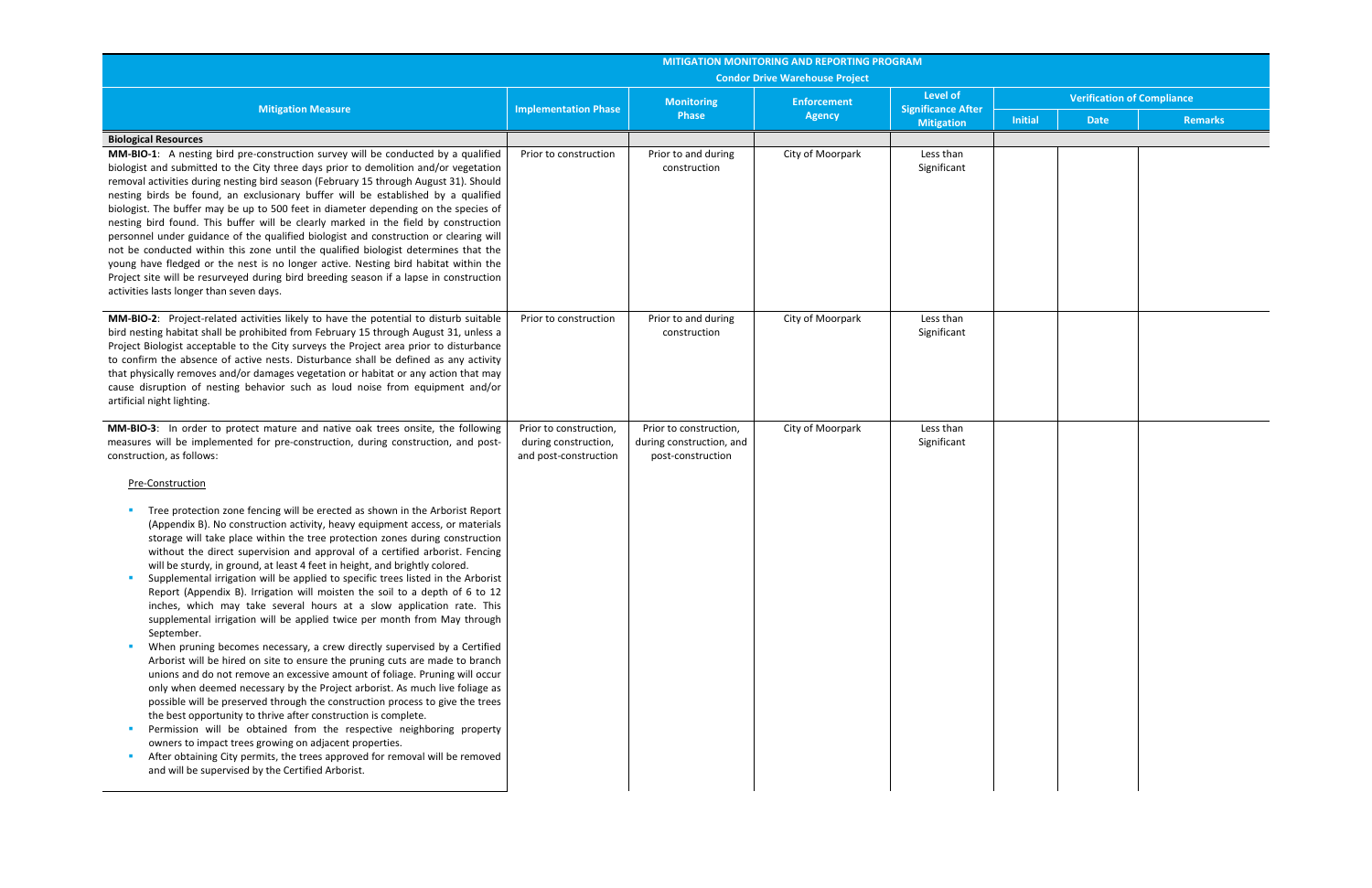|                                                                                                                                                                                                                                                                                                                                                                                                                                                                                                                                                                                                                                                                                                                                                                                                                                                                                                                                                                                                                                                                                                                                                                                                                                                                                                                                                                                                                                                                                                        | <b>MITIGATION MONITORING AND REPORTING PROGRAM</b><br><b>Condor Drive Warehouse Project</b> |                                                                         |                                     |                                       |                                   |             |                |  |
|--------------------------------------------------------------------------------------------------------------------------------------------------------------------------------------------------------------------------------------------------------------------------------------------------------------------------------------------------------------------------------------------------------------------------------------------------------------------------------------------------------------------------------------------------------------------------------------------------------------------------------------------------------------------------------------------------------------------------------------------------------------------------------------------------------------------------------------------------------------------------------------------------------------------------------------------------------------------------------------------------------------------------------------------------------------------------------------------------------------------------------------------------------------------------------------------------------------------------------------------------------------------------------------------------------------------------------------------------------------------------------------------------------------------------------------------------------------------------------------------------------|---------------------------------------------------------------------------------------------|-------------------------------------------------------------------------|-------------------------------------|---------------------------------------|-----------------------------------|-------------|----------------|--|
| <b>Mitigation Measure</b>                                                                                                                                                                                                                                                                                                                                                                                                                                                                                                                                                                                                                                                                                                                                                                                                                                                                                                                                                                                                                                                                                                                                                                                                                                                                                                                                                                                                                                                                              | <b>Implementation Phase</b>                                                                 | <b>Monitoring</b><br><b>Phase</b>                                       | <b>Enforcement</b><br><b>Agency</b> | Level of<br><b>Significance After</b> | <b>Verification of Compliance</b> |             |                |  |
|                                                                                                                                                                                                                                                                                                                                                                                                                                                                                                                                                                                                                                                                                                                                                                                                                                                                                                                                                                                                                                                                                                                                                                                                                                                                                                                                                                                                                                                                                                        |                                                                                             |                                                                         |                                     | <b>Mitigation</b>                     | <b>Initial</b>                    | <b>Date</b> | <b>Remarks</b> |  |
| <b>Biological Resources</b><br>MM-BIO-1: A nesting bird pre-construction survey will be conducted by a qualified<br>biologist and submitted to the City three days prior to demolition and/or vegetation<br>removal activities during nesting bird season (February 15 through August 31). Should<br>nesting birds be found, an exclusionary buffer will be established by a qualified<br>biologist. The buffer may be up to 500 feet in diameter depending on the species of<br>nesting bird found. This buffer will be clearly marked in the field by construction<br>personnel under guidance of the qualified biologist and construction or clearing will<br>not be conducted within this zone until the qualified biologist determines that the<br>young have fledged or the nest is no longer active. Nesting bird habitat within the<br>Project site will be resurveyed during bird breeding season if a lapse in construction<br>activities lasts longer than seven days.                                                                                                                                                                                                                                                                                                                                                                                                                                                                                                                      | Prior to construction                                                                       | Prior to and during<br>construction                                     | City of Moorpark                    | Less than<br>Significant              |                                   |             |                |  |
| MM-BIO-2: Project-related activities likely to have the potential to disturb suitable<br>bird nesting habitat shall be prohibited from February 15 through August 31, unless a<br>Project Biologist acceptable to the City surveys the Project area prior to disturbance<br>to confirm the absence of active nests. Disturbance shall be defined as any activity<br>that physically removes and/or damages vegetation or habitat or any action that may<br>cause disruption of nesting behavior such as loud noise from equipment and/or<br>artificial night lighting.                                                                                                                                                                                                                                                                                                                                                                                                                                                                                                                                                                                                                                                                                                                                                                                                                                                                                                                                 | Prior to construction                                                                       | Prior to and during<br>construction                                     | City of Moorpark                    | Less than<br>Significant              |                                   |             |                |  |
| MM-BIO-3: In order to protect mature and native oak trees onsite, the following<br>measures will be implemented for pre-construction, during construction, and post-<br>construction, as follows:<br>Pre-Construction                                                                                                                                                                                                                                                                                                                                                                                                                                                                                                                                                                                                                                                                                                                                                                                                                                                                                                                                                                                                                                                                                                                                                                                                                                                                                  | Prior to construction,<br>during construction,<br>and post-construction                     | Prior to construction,<br>during construction, and<br>post-construction | City of Moorpark                    | Less than<br>Significant              |                                   |             |                |  |
| Tree protection zone fencing will be erected as shown in the Arborist Report<br>(Appendix B). No construction activity, heavy equipment access, or materials<br>storage will take place within the tree protection zones during construction<br>without the direct supervision and approval of a certified arborist. Fencing<br>will be sturdy, in ground, at least 4 feet in height, and brightly colored.<br>Supplemental irrigation will be applied to specific trees listed in the Arborist<br>Report (Appendix B). Irrigation will moisten the soil to a depth of 6 to 12<br>inches, which may take several hours at a slow application rate. This<br>supplemental irrigation will be applied twice per month from May through<br>September.<br>When pruning becomes necessary, a crew directly supervised by a Certified<br>Arborist will be hired on site to ensure the pruning cuts are made to branch<br>unions and do not remove an excessive amount of foliage. Pruning will occur<br>only when deemed necessary by the Project arborist. As much live foliage as<br>possible will be preserved through the construction process to give the trees<br>the best opportunity to thrive after construction is complete.<br>Permission will be obtained from the respective neighboring property<br>owners to impact trees growing on adjacent properties.<br>After obtaining City permits, the trees approved for removal will be removed<br>and will be supervised by the Certified Arborist. |                                                                                             |                                                                         |                                     |                                       |                                   |             |                |  |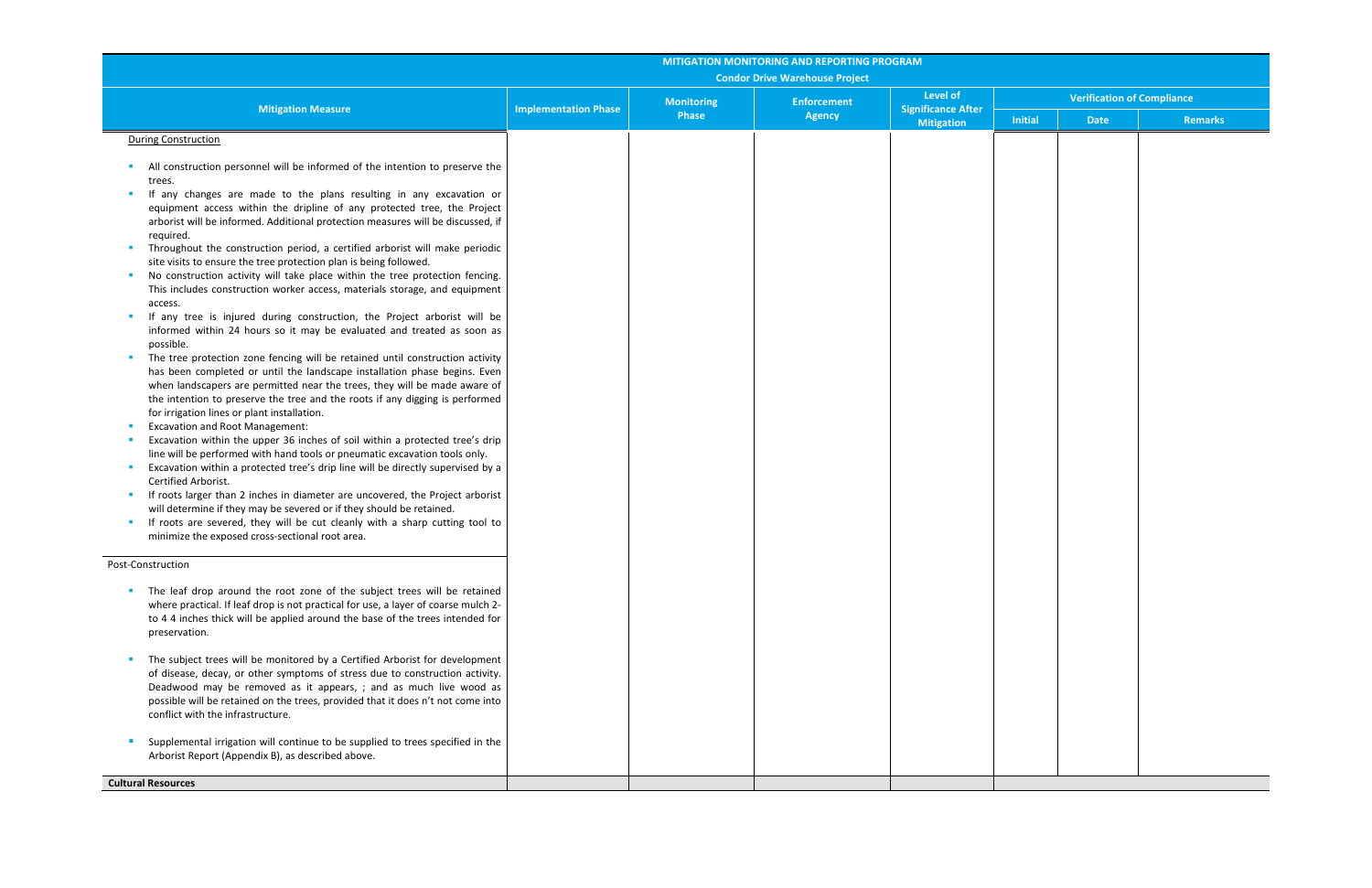|                                                                                                                                                            | <b>MITIGATION MONITORING AND REPORTING PROGRAM</b><br><b>Condor Drive Warehouse Project</b> |                   |                    |                                              |                                   |             |         |  |  |
|------------------------------------------------------------------------------------------------------------------------------------------------------------|---------------------------------------------------------------------------------------------|-------------------|--------------------|----------------------------------------------|-----------------------------------|-------------|---------|--|--|
| <b>Mitigation Measure</b>                                                                                                                                  | <b>Implementation Phase</b>                                                                 | <b>Monitoring</b> | <b>Enforcement</b> | <b>Level of</b><br><b>Significance After</b> | <b>Verification of Compliance</b> |             |         |  |  |
|                                                                                                                                                            |                                                                                             | Phase             | <b>Agency</b>      | <b>Mitigation</b>                            | <b>Initial</b>                    | <b>Date</b> | Remarks |  |  |
| <b>During Construction</b>                                                                                                                                 |                                                                                             |                   |                    |                                              |                                   |             |         |  |  |
| All construction personnel will be informed of the intention to preserve the                                                                               |                                                                                             |                   |                    |                                              |                                   |             |         |  |  |
| trees.<br>If any changes are made to the plans resulting in any excavation or                                                                              |                                                                                             |                   |                    |                                              |                                   |             |         |  |  |
| equipment access within the dripline of any protected tree, the Project                                                                                    |                                                                                             |                   |                    |                                              |                                   |             |         |  |  |
| arborist will be informed. Additional protection measures will be discussed, if<br>required.                                                               |                                                                                             |                   |                    |                                              |                                   |             |         |  |  |
| Throughout the construction period, a certified arborist will make periodic                                                                                |                                                                                             |                   |                    |                                              |                                   |             |         |  |  |
| site visits to ensure the tree protection plan is being followed.                                                                                          |                                                                                             |                   |                    |                                              |                                   |             |         |  |  |
| No construction activity will take place within the tree protection fencing.<br>This includes construction worker access, materials storage, and equipment |                                                                                             |                   |                    |                                              |                                   |             |         |  |  |
| access.                                                                                                                                                    |                                                                                             |                   |                    |                                              |                                   |             |         |  |  |
| If any tree is injured during construction, the Project arborist will be<br>informed within 24 hours so it may be evaluated and treated as soon as         |                                                                                             |                   |                    |                                              |                                   |             |         |  |  |
| possible.                                                                                                                                                  |                                                                                             |                   |                    |                                              |                                   |             |         |  |  |
| The tree protection zone fencing will be retained until construction activity                                                                              |                                                                                             |                   |                    |                                              |                                   |             |         |  |  |
| has been completed or until the landscape installation phase begins. Even<br>when landscapers are permitted near the trees, they will be made aware of     |                                                                                             |                   |                    |                                              |                                   |             |         |  |  |
| the intention to preserve the tree and the roots if any digging is performed                                                                               |                                                                                             |                   |                    |                                              |                                   |             |         |  |  |
| for irrigation lines or plant installation.<br><b>Excavation and Root Management:</b>                                                                      |                                                                                             |                   |                    |                                              |                                   |             |         |  |  |
| Excavation within the upper 36 inches of soil within a protected tree's drip                                                                               |                                                                                             |                   |                    |                                              |                                   |             |         |  |  |
| line will be performed with hand tools or pneumatic excavation tools only.                                                                                 |                                                                                             |                   |                    |                                              |                                   |             |         |  |  |
| Excavation within a protected tree's drip line will be directly supervised by a<br>Certified Arborist.                                                     |                                                                                             |                   |                    |                                              |                                   |             |         |  |  |
| If roots larger than 2 inches in diameter are uncovered, the Project arborist                                                                              |                                                                                             |                   |                    |                                              |                                   |             |         |  |  |
| will determine if they may be severed or if they should be retained.<br>If roots are severed, they will be cut cleanly with a sharp cutting tool to        |                                                                                             |                   |                    |                                              |                                   |             |         |  |  |
| minimize the exposed cross-sectional root area.                                                                                                            |                                                                                             |                   |                    |                                              |                                   |             |         |  |  |
| Post-Construction                                                                                                                                          |                                                                                             |                   |                    |                                              |                                   |             |         |  |  |
| The leaf drop around the root zone of the subject trees will be retained                                                                                   |                                                                                             |                   |                    |                                              |                                   |             |         |  |  |
| where practical. If leaf drop is not practical for use, a layer of coarse mulch 2-                                                                         |                                                                                             |                   |                    |                                              |                                   |             |         |  |  |
| to 4 4 inches thick will be applied around the base of the trees intended for                                                                              |                                                                                             |                   |                    |                                              |                                   |             |         |  |  |
| preservation.                                                                                                                                              |                                                                                             |                   |                    |                                              |                                   |             |         |  |  |
| The subject trees will be monitored by a Certified Arborist for development                                                                                |                                                                                             |                   |                    |                                              |                                   |             |         |  |  |
| of disease, decay, or other symptoms of stress due to construction activity.<br>Deadwood may be removed as it appears, ; and as much live wood as          |                                                                                             |                   |                    |                                              |                                   |             |         |  |  |
| possible will be retained on the trees, provided that it does n't not come into                                                                            |                                                                                             |                   |                    |                                              |                                   |             |         |  |  |
| conflict with the infrastructure.                                                                                                                          |                                                                                             |                   |                    |                                              |                                   |             |         |  |  |
| Supplemental irrigation will continue to be supplied to trees specified in the                                                                             |                                                                                             |                   |                    |                                              |                                   |             |         |  |  |
| Arborist Report (Appendix B), as described above.                                                                                                          |                                                                                             |                   |                    |                                              |                                   |             |         |  |  |
| <b>Cultural Resources</b>                                                                                                                                  |                                                                                             |                   |                    |                                              |                                   |             |         |  |  |